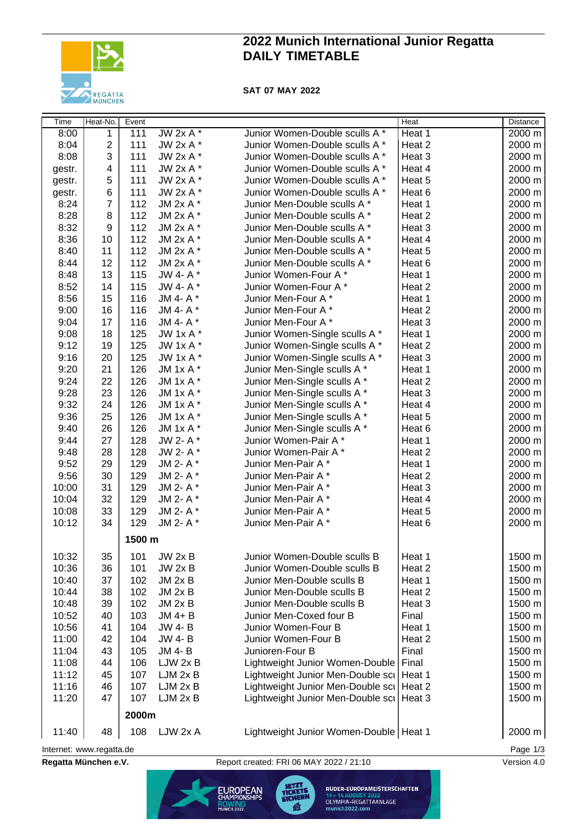

# **2022 Munich International Junior Regatta DAILY TIMETABLE**

**SAT 07 MAY 2022**

| Time                     | Heat-No.         | Event  |               |                                            | <b>Heat</b> | <b>Distance</b> |
|--------------------------|------------------|--------|---------------|--------------------------------------------|-------------|-----------------|
| 8:00                     | 1                | 111    | $JW 2x A*$    | Junior Women-Double sculls A *             | Heat 1      | 2000 m          |
| 8:04                     | $\overline{c}$   | 111    | JW 2x A *     | Junior Women-Double sculls A *             | Heat 2      | 2000 m          |
| 8:08                     | 3                | 111    | JW 2x A *     | Junior Women-Double sculls A *             | Heat 3      | 2000 m          |
| gestr.                   | 4                | 111    | JW 2x A *     | Junior Women-Double sculls A *             | Heat 4      | 2000 m          |
| gestr.                   | 5                | 111    | JW 2x A *     | Junior Women-Double sculls A *             | Heat 5      | 2000 m          |
| gestr.                   | 6                | 111    | JW 2x A *     | Junior Women-Double sculls A *             | Heat 6      | 2000 m          |
| 8:24                     | $\overline{7}$   | 112    | JM 2x A *     | Junior Men-Double sculls A *               | Heat 1      | 2000 m          |
| 8:28                     | 8                | 112    | JM 2x A *     | Junior Men-Double sculls A *               | Heat 2      | 2000 m          |
| 8:32                     | $\boldsymbol{9}$ | 112    | JM 2x A *     | Junior Men-Double sculls A *               | Heat 3      | 2000 m          |
| 8:36                     | 10               | 112    | JM 2x A *     | Junior Men-Double sculls A *               | Heat 4      | 2000 m          |
| 8:40                     | 11               | 112    | JM 2x A *     | Junior Men-Double sculls A *               | Heat 5      | 2000 m          |
| 8:44                     | 12               | 112    | JM 2x A *     | Junior Men-Double sculls A *               | Heat 6      | 2000 m          |
| 8:48                     | 13               | 115    | JW 4- A*      | Junior Women-Four A*                       | Heat 1      | 2000 m          |
| 8:52                     | 14               | 115    | JW 4- A*      | Junior Women-Four A*                       | Heat 2      | 2000 m          |
| 8:56                     | 15               | 116    | JM 4- A*      | Junior Men-Four A*                         | Heat 1      | 2000 m          |
| 9:00                     | 16               | 116    | JM 4- A*      | Junior Men-Four A*                         | Heat 2      | 2000 m          |
| 9:04                     | 17               | 116    | JM 4- A*      | Junior Men-Four A*                         | Heat 3      | 2000 m          |
| 9:08                     | 18               | 125    | JW 1x A *     | Junior Women-Single sculls A *             | Heat 1      | 2000 m          |
| 9:12                     | 19               | 125    | JW 1x A *     | Junior Women-Single sculls A *             | Heat 2      | 2000 m          |
| 9:16                     | 20               | 125    | JW 1x A *     | Junior Women-Single sculls A *             | Heat 3      | 2000 m          |
| 9:20                     | 21               | 126    | JM 1x A *     | Junior Men-Single sculls A *               | Heat 1      | 2000 m          |
| 9:24                     | 22               | 126    | JM 1x A *     | Junior Men-Single sculls A *               | Heat 2      | 2000 m          |
| 9:28                     | 23               | 126    | JM 1x A *     | Junior Men-Single sculls A *               | Heat 3      | 2000 m          |
| 9:32                     | 24               | 126    | JM 1x A $*$   | Junior Men-Single sculls A *               | Heat 4      | 2000 m          |
| 9:36                     | 25               | 126    | JM 1x A *     | Junior Men-Single sculls A *               | Heat 5      | 2000 m          |
| 9:40                     | 26               | 126    | JM 1x A *     | Junior Men-Single sculls A *               | Heat 6      | 2000 m          |
| 9:44                     | 27               | 128    | JW 2- A*      | Junior Women-Pair A*                       | Heat 1      | 2000 m          |
| 9:48                     | 28               | 128    | JW 2- A*      | Junior Women-Pair A*                       | Heat 2      | 2000 m          |
| 9:52                     | 29               | 129    | JM 2- A*      | Junior Men-Pair A*                         | Heat 1      | 2000 m          |
| 9:56                     | 30               | 129    | JM 2- A*      | Junior Men-Pair A*                         | Heat 2      | 2000 m          |
| 10:00                    | 31               | 129    | JM 2- A*      | Junior Men-Pair A*                         | Heat 3      | 2000 m          |
| 10:04                    | 32               | 129    | JM 2- A*      | Junior Men-Pair A*                         | Heat 4      | 2000 m          |
| 10:08                    | 33               | 129    | JM 2- A*      | Junior Men-Pair A*                         | Heat 5      | 2000 m          |
| 10:12                    | 34               | 129    | JM 2- A*      | Junior Men-Pair A*                         | Heat 6      | 2000 m          |
|                          |                  |        |               |                                            |             |                 |
|                          |                  | 1500 m |               |                                            |             |                 |
| 10:32                    | 35               | 101    | JW 2x B       | Junior Women-Double sculls B               | Heat 1      | 1500 m          |
| 10:36                    | 36               | 101    | JW 2x B       | Junior Women-Double sculls B               | Heat 2      | 1500 m          |
| 10:40                    | 37               | 102    | $JM$ 2x $B$   | Junior Men-Double sculls B                 | Heat 1      | 1500 m          |
| 10:44                    | 38               | 102    | $JM$ 2x $B$   | Junior Men-Double sculls B                 | Heat 2      | 1500 m          |
| 10:48                    | 39               | 102    | $JM$ 2x $B$   | Junior Men-Double sculls B                 | Heat 3      | 1500 m          |
| 10:52                    | 40               | 103    | $JM$ 4+ $B$   | Junior Men-Coxed four B                    | Final       | 1500 m          |
| 10:56                    | 41               | 104    | <b>JW 4-B</b> | Junior Women-Four B                        | Heat 1      | 1500 m          |
| 11:00                    | 42               | 104    | <b>JW 4-B</b> | Junior Women-Four B                        | Heat 2      | 1500 m          |
| 11:04                    | 43               | 105    | JM 4-B        | Junioren-Four B                            | Final       | 1500 m          |
| 11:08                    | 44               | 106    | LJW 2x B      | Lightweight Junior Women-Double            | Final       | 1500 m          |
| 11:12                    | 45               | 107    | LJM 2x B      | Lightweight Junior Men-Double scil Heat 1  |             | 1500 m          |
| 11:16                    | 46               | 107    | LJM 2x B      | Lightweight Junior Men-Double sci   Heat 2 |             | 1500 m          |
| 11:20                    | 47               | 107    | LJM 2x B      | Lightweight Junior Men-Double scil Heat 3  |             | 1500 m          |
|                          |                  | 2000m  |               |                                            |             |                 |
|                          |                  |        |               |                                            |             |                 |
| 11:40                    | 48               | 108    | LJW 2x A      | Lightweight Junior Women-Double   Heat 1   |             | 2000 m          |
| Internet: www.regatta.de |                  |        |               |                                            |             | Page 1/3        |

**Regatta München e.V.** Report created: FRI 06 MAY 2022 / 21:10 Version 4.0

**JETZT<br>TICKETS EUROPEAN** ROWING<br>MUNICH 2022

RUDER-EUROPAMEISTERSCHAFTEN 11 – 14 AUGUST 2022<br>OLYMPIA-REGATTAANLAGE<br>munich2022.com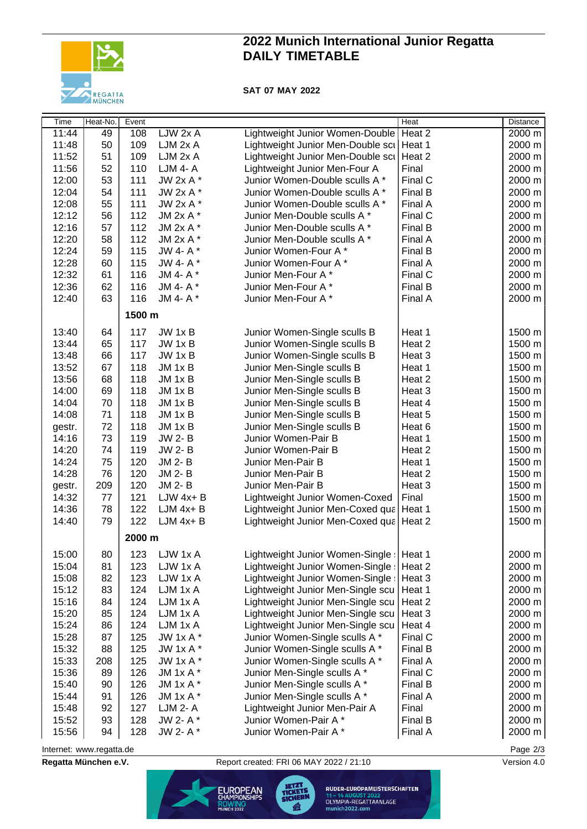

### **2022 Munich International Junior Regatta DAILY TIMETABLE**

### **SAT 07 MAY 2022**

| Time   | Heat-No. | Event  |                 |                                           | <b>Heat</b> | Distance         |
|--------|----------|--------|-----------------|-------------------------------------------|-------------|------------------|
| 11:44  | 49       | 108    | LJW 2x A        | Lightweight Junior Women-Double           | Heat 2      | $2000 \text{ m}$ |
| 11:48  | 50       | 109    | LJM 2x A        | Lightweight Junior Men-Double scu         | Heat 1      | 2000 m           |
| 11:52  | 51       | 109    | LJM 2x A        | Lightweight Junior Men-Double scu         | Heat 2      | 2000 m           |
| 11:56  | 52       | 110    | <b>LJM 4- A</b> | Lightweight Junior Men-Four A             | Final       | 2000 m           |
| 12:00  | 53       | 111    | JW 2x A *       | Junior Women-Double sculls A *            | Final C     | 2000 m           |
| 12:04  | 54       | 111    | JW 2x A *       | Junior Women-Double sculls A *            | Final B     | 2000 m           |
| 12:08  | 55       | 111    | JW 2x A *       | Junior Women-Double sculls A *            | Final A     | 2000 m           |
| 12:12  | 56       | 112    | JM 2x A *       | Junior Men-Double sculls A *              | Final C     | 2000 m           |
| 12:16  | 57       | 112    | JM 2x A *       | Junior Men-Double sculls A *              | Final B     | 2000 m           |
| 12:20  | 58       | 112    | JM 2x A *       | Junior Men-Double sculls A *              | Final A     | 2000 m           |
| 12:24  | 59       | 115    | JW 4- A*        | Junior Women-Four A*                      | Final B     | 2000 m           |
| 12:28  | 60       | 115    | JW 4- A*        | Junior Women-Four A*                      | Final A     | 2000 m           |
| 12:32  | 61       | 116    | JM 4- A*        | Junior Men-Four A*                        | Final C     | 2000 m           |
| 12:36  | 62       | 116    | JM 4- A*        | Junior Men-Four A*                        | Final B     | 2000 m           |
| 12:40  | 63       | 116    | JM 4- A*        | Junior Men-Four A*                        | Final A     | 2000 m           |
|        |          | 1500 m |                 |                                           |             |                  |
|        |          |        |                 |                                           |             |                  |
| 13:40  | 64       | 117    | JW 1x B         | Junior Women-Single sculls B              | Heat 1      | 1500 m           |
| 13:44  | 65       | 117    | JW 1x B         | Junior Women-Single sculls B              | Heat 2      | 1500 m           |
| 13:48  | 66       | 117    | JW 1x B         | Junior Women-Single sculls B              | Heat 3      | 1500 m           |
| 13:52  | 67       | 118    | $JM$ 1 $x$ B    | Junior Men-Single sculls B                | Heat 1      | 1500 m           |
| 13:56  | 68       | 118    | $JM$ 1 $x$ B    | Junior Men-Single sculls B                | Heat 2      | 1500 m           |
| 14:00  | 69       | 118    | JM 1x B         | Junior Men-Single sculls B                | Heat 3      | 1500 m           |
| 14:04  | 70       | 118    | JM 1x B         | Junior Men-Single sculls B                | Heat 4      | 1500 m           |
| 14:08  | 71       | 118    | JM 1x B         | Junior Men-Single sculls B                | Heat 5      | 1500 m           |
| gestr. | 72       | 118    | JM 1x B         | Junior Men-Single sculls B                | Heat 6      | 1500 m           |
| 14:16  | 73       | 119    | <b>JW 2-B</b>   | Junior Women-Pair B                       | Heat 1      | 1500 m           |
| 14:20  | 74       | 119    | <b>JW 2-B</b>   | Junior Women-Pair B                       | Heat 2      | 1500 m           |
| 14:24  | 75       | 120    | JM 2-B          | Junior Men-Pair B                         | Heat 1      | 1500 m           |
| 14:28  | 76       | 120    | JM 2-B          | Junior Men-Pair B                         | Heat 2      | 1500 m           |
| gestr. | 209      | 120    | JM 2-B          | Junior Men-Pair B                         | Heat 3      | 1500 m           |
| 14:32  | 77       | 121    | $LJW$ 4x+ B     | Lightweight Junior Women-Coxed            | Final       | 1500 m           |
| 14:36  | 78       | 122    | $LJM$ 4x+ $B$   | Lightweight Junior Men-Coxed qua          | Heat 1      | 1500 m           |
| 14:40  | 79       | 122    | $LJM$ 4x+ $B$   | Lightweight Junior Men-Coxed qua          | Heat 2      | 1500 m           |
|        |          | 2000 m |                 |                                           |             |                  |
| 15:00  | 80       |        | 123 LJW 1x A    | Lightweight Junior Women-Single:   Heat 1 |             | 2000 m           |
| 15:04  | 81       | 123    | LJW 1x A        | Lightweight Junior Women-Single:          | Heat 2      | 2000 m           |
| 15:08  | 82       | 123    | LJW 1x A        | Lightweight Junior Women-Single:          | Heat 3      | 2000 m           |
| 15:12  | 83       | 124    | LJM 1x A        | Lightweight Junior Men-Single scu         | Heat 1      | 2000 m           |
| 15:16  | 84       | 124    | LJM 1x A        | Lightweight Junior Men-Single scu         | Heat 2      | 2000 m           |
| 15:20  | 85       | 124    | LJM 1x A        | Lightweight Junior Men-Single scu         | Heat 3      | 2000 m           |
| 15:24  | 86       | 124    | LJM 1x A        | Lightweight Junior Men-Single scu         | Heat 4      | 2000 m           |
| 15:28  | 87       | 125    | JW 1x A *       | Junior Women-Single sculls A *            | Final C     | 2000 m           |
| 15:32  | 88       | 125    | JW 1x A *       | Junior Women-Single sculls A *            | Final B     | 2000 m           |
| 15:33  | 208      | 125    | JW 1x A *       | Junior Women-Single sculls A *            | Final A     | 2000 m           |
| 15:36  | 89       | 126    | JM 1x A *       | Junior Men-Single sculls A *              | Final C     | 2000 m           |
| 15:40  | 90       | 126    | JM 1x A *       | Junior Men-Single sculls A *              | Final B     | 2000 m           |
| 15:44  | 91       | 126    | JM $1xA^*$      | Junior Men-Single sculls A *              | Final A     | 2000 m           |
| 15:48  | 92       | 127    | LJM 2- A        | Lightweight Junior Men-Pair A             | Final       | 2000 m           |
| 15:52  | 93       | 128    | JW 2- A*        | Junior Women-Pair A*                      | Final B     | 2000 m           |
| 15:56  | 94       | 128    | JW 2- A *       | Junior Women-Pair A*                      | Final A     | 2000 m           |

Internet: [www.regatta.de](http://www.regatta.de) Page 2/3

**Regatta München e.V.** Report created: FRI 06 MAY 2022 / 21:10 Version 4.0



RUDER-EUROPAMEISTERSCHAFTEN 11 – 14 AUGUST 2022<br>OLYMPIA-REGATTAANLAGE<br>munich2022.com